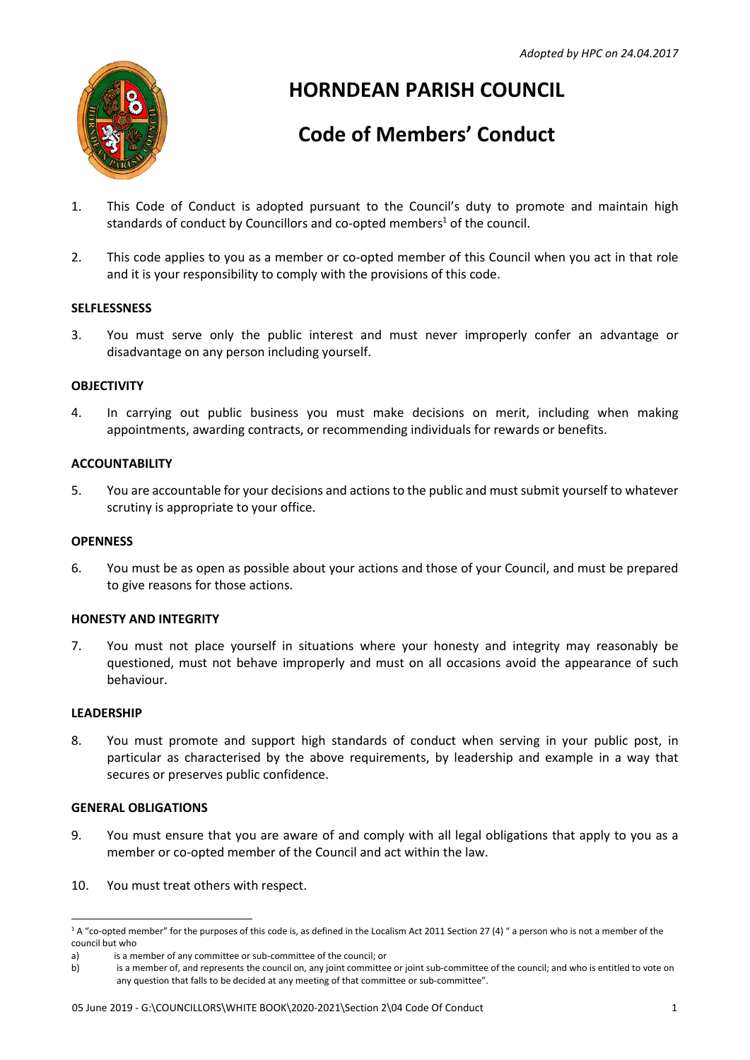

# **HORNDEAN PARISH COUNCIL**

# **Code of Members' Conduct**

- 1. This Code of Conduct is adopted pursuant to the Council's duty to promote and maintain high standards of conduct by Councillors and co-opted members<sup>1</sup> of the council.
- 2. This code applies to you as a member or co-opted member of this Council when you act in that role and it is your responsibility to comply with the provisions of this code.

## **SELFLESSNESS**

3. You must serve only the public interest and must never improperly confer an advantage or disadvantage on any person including yourself.

## **OBJECTIVITY**

4. In carrying out public business you must make decisions on merit, including when making appointments, awarding contracts, or recommending individuals for rewards or benefits.

#### **ACCOUNTABILITY**

5. You are accountable for your decisions and actions to the public and must submit yourself to whatever scrutiny is appropriate to your office.

#### **OPENNESS**

6. You must be as open as possible about your actions and those of your Council, and must be prepared to give reasons for those actions.

#### **HONESTY AND INTEGRITY**

7. You must not place yourself in situations where your honesty and integrity may reasonably be questioned, must not behave improperly and must on all occasions avoid the appearance of such behaviour.

#### **LEADERSHIP**

8. You must promote and support high standards of conduct when serving in your public post, in particular as characterised by the above requirements, by leadership and example in a way that secures or preserves public confidence.

#### **GENERAL OBLIGATIONS**

- 9. You must ensure that you are aware of and comply with all legal obligations that apply to you as a member or co-opted member of the Council and act within the law.
- 10. You must treat others with respect.

<sup>-</sup> $1A$  "co-opted member" for the purposes of this code is, as defined in the Localism Act 2011 Section 27 (4) " a person who is not a member of the council but who

a) is a member of any committee or sub-committee of the council; or

b) is a member of, and represents the council on, any joint committee or joint sub-committee of the council; and who is entitled to vote on any question that falls to be decided at any meeting of that committee or sub-committee".